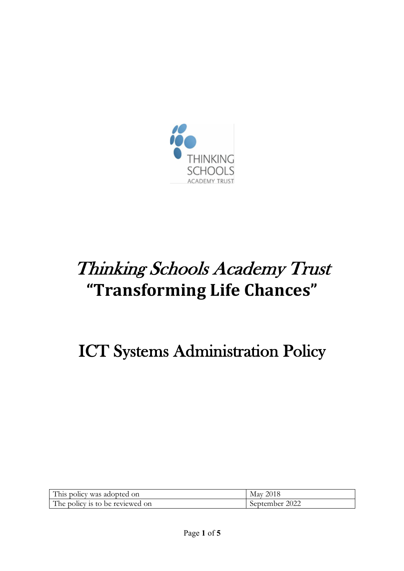

# Thinking Schools Academy Trust **"Transforming Life Chances"**

# ICT Systems Administration Policy

| This policy was adopted on      | May 2018       |
|---------------------------------|----------------|
| The policy is to be reviewed on | September 2022 |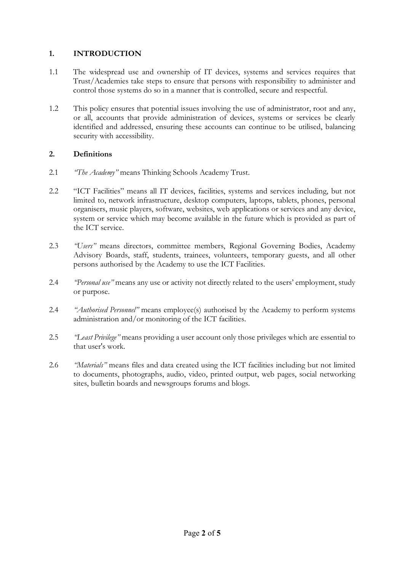#### **1. INTRODUCTION**

- 1.1 The widespread use and ownership of IT devices, systems and services requires that Trust/Academies take steps to ensure that persons with responsibility to administer and control those systems do so in a manner that is controlled, secure and respectful.
- 1.2 This policy ensures that potential issues involving the use of administrator, root and any, or all, accounts that provide administration of devices, systems or services be clearly identified and addressed, ensuring these accounts can continue to be utilised, balancing security with accessibility.

## **2. Definitions**

- 2.1 *"The Academy"* means Thinking Schools Academy Trust.
- 2.2 "ICT Facilities" means all IT devices, facilities, systems and services including, but not limited to, network infrastructure, desktop computers, laptops, tablets, phones, personal organisers, music players, software, websites, web applications or services and any device, system or service which may become available in the future which is provided as part of the ICT service.
- 2.3 *"Users"* means directors, committee members, Regional Governing Bodies, Academy Advisory Boards, staff, students, trainees, volunteers, temporary guests, and all other persons authorised by the Academy to use the ICT Facilities.
- 2.4 *"Personal use"* means any use or activity not directly related to the users' employment, study or purpose.
- 2.4 *"Authorised Personnel"* means employee(s) authorised by the Academy to perform systems administration and/or monitoring of the ICT facilities.
- 2.5 *"Least Privilege"* means providing a user account only those privileges which are essential to that user's work.
- 2.6 *"Materials"* means files and data created using the ICT facilities including but not limited to documents, photographs, audio, video, printed output, web pages, social networking sites, bulletin boards and newsgroups forums and blogs.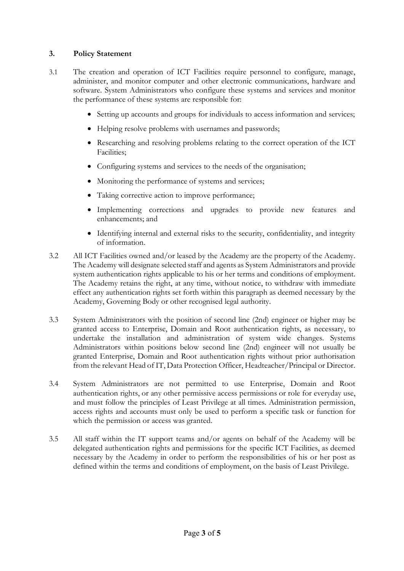### **3. Policy Statement**

- 3.1 The creation and operation of ICT Facilities require personnel to configure, manage, administer, and monitor computer and other electronic communications, hardware and software. System Administrators who configure these systems and services and monitor the performance of these systems are responsible for:
	- Setting up accounts and groups for individuals to access information and services;
	- Helping resolve problems with usernames and passwords;
	- Researching and resolving problems relating to the correct operation of the ICT Facilities;
	- Configuring systems and services to the needs of the organisation;
	- Monitoring the performance of systems and services;
	- Taking corrective action to improve performance;
	- Implementing corrections and upgrades to provide new features and enhancements; and
	- Identifying internal and external risks to the security, confidentiality, and integrity of information.
- 3.2 All ICT Facilities owned and/or leased by the Academy are the property of the Academy. The Academy will designate selected staff and agents as System Administrators and provide system authentication rights applicable to his or her terms and conditions of employment. The Academy retains the right, at any time, without notice, to withdraw with immediate effect any authentication rights set forth within this paragraph as deemed necessary by the Academy, Governing Body or other recognised legal authority.
- 3.3 System Administrators with the position of second line (2nd) engineer or higher may be granted access to Enterprise, Domain and Root authentication rights, as necessary, to undertake the installation and administration of system wide changes. Systems Administrators within positions below second line (2nd) engineer will not usually be granted Enterprise, Domain and Root authentication rights without prior authorisation from the relevant Head of IT, Data Protection Officer, Headteacher/Principal or Director.
- 3.4 System Administrators are not permitted to use Enterprise, Domain and Root authentication rights, or any other permissive access permissions or role for everyday use, and must follow the principles of Least Privilege at all times. Administration permission, access rights and accounts must only be used to perform a specific task or function for which the permission or access was granted.
- 3.5 All staff within the IT support teams and/or agents on behalf of the Academy will be delegated authentication rights and permissions for the specific ICT Facilities, as deemed necessary by the Academy in order to perform the responsibilities of his or her post as defined within the terms and conditions of employment, on the basis of Least Privilege.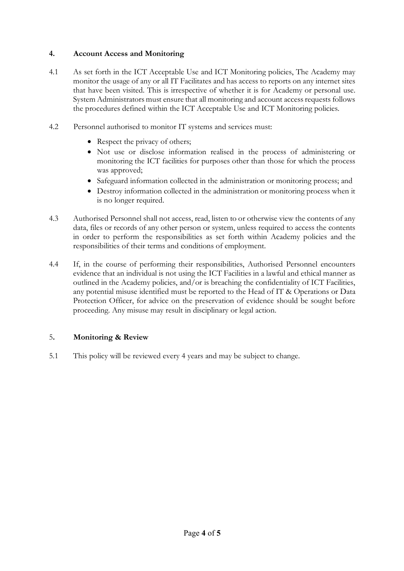#### **4. Account Access and Monitoring**

- 4.1 As set forth in the ICT Acceptable Use and ICT Monitoring policies, The Academy may monitor the usage of any or all IT Facilitates and has access to reports on any internet sites that have been visited. This is irrespective of whether it is for Academy or personal use. System Administrators must ensure that all monitoring and account access requests follows the procedures defined within the ICT Acceptable Use and ICT Monitoring policies.
- 4.2 Personnel authorised to monitor IT systems and services must:
	- Respect the privacy of others;
	- Not use or disclose information realised in the process of administering or monitoring the ICT facilities for purposes other than those for which the process was approved;
	- Safeguard information collected in the administration or monitoring process; and
	- Destroy information collected in the administration or monitoring process when it is no longer required.
- 4.3 Authorised Personnel shall not access, read, listen to or otherwise view the contents of any data, files or records of any other person or system, unless required to access the contents in order to perform the responsibilities as set forth within Academy policies and the responsibilities of their terms and conditions of employment.
- 4.4 If, in the course of performing their responsibilities, Authorised Personnel encounters evidence that an individual is not using the ICT Facilities in a lawful and ethical manner as outlined in the Academy policies, and/or is breaching the confidentiality of ICT Facilities, any potential misuse identified must be reported to the Head of IT & Operations or Data Protection Officer, for advice on the preservation of evidence should be sought before proceeding. Any misuse may result in disciplinary or legal action.

#### 5**. Monitoring & Review**

5.1 This policy will be reviewed every 4 years and may be subject to change.